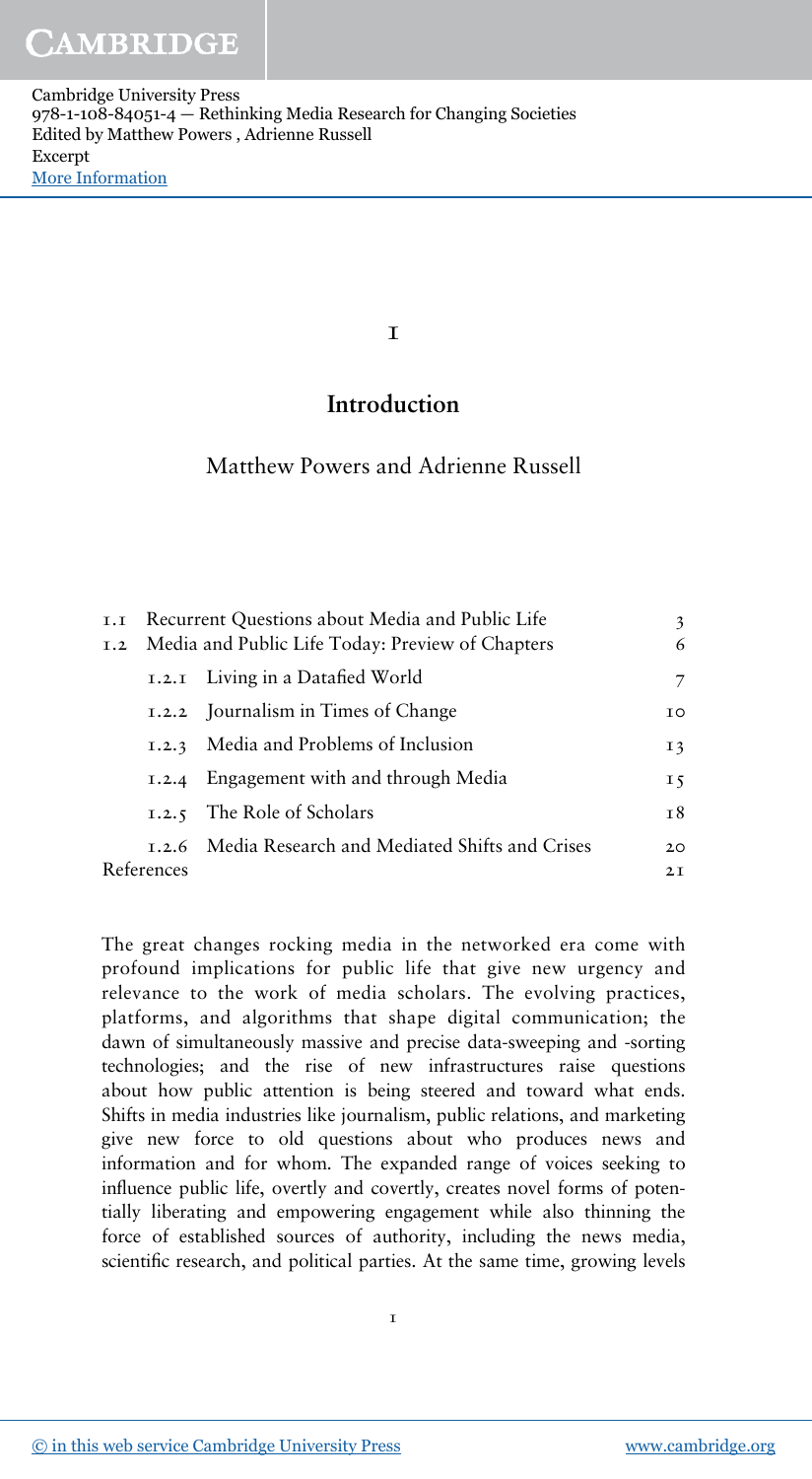# CAMBRIDGE

Cambridge University Press 978-1-108-84051-4 — Rethinking Media Research for Changing Societies Edited by Matthew Powers , Adrienne Russell Excerpt [More Information](www.cambridge.org/9781108840514)

 $\mathbf{I}$ 

# Introduction

## Matthew Powers and Adrienne Russell

| I.I | Recurrent Questions about Media and Public Life      |                                                     | 3              |
|-----|------------------------------------------------------|-----------------------------------------------------|----------------|
|     | 1.2 Media and Public Life Today: Preview of Chapters |                                                     | 6              |
|     |                                                      | 1.2.1 Living in a Datafied World                    | 7              |
|     |                                                      | 1.2.2 Journalism in Times of Change                 | 10             |
|     |                                                      | 1.2.3 Media and Problems of Inclusion               | 13             |
|     |                                                      | 1.2.4 Engagement with and through Media             | 15             |
|     |                                                      | 1.2.5 The Role of Scholars                          | T <sup>8</sup> |
|     |                                                      | 1.2.6 Media Research and Mediated Shifts and Crises | 20             |
|     | References                                           |                                                     | 2I             |

The great changes rocking media in the networked era come with profound implications for public life that give new urgency and relevance to the work of media scholars. The evolving practices, platforms, and algorithms that shape digital communication; the dawn of simultaneously massive and precise data-sweeping and -sorting technologies; and the rise of new infrastructures raise questions about how public attention is being steered and toward what ends. Shifts in media industries like journalism, public relations, and marketing give new force to old questions about who produces news and information and for whom. The expanded range of voices seeking to influence public life, overtly and covertly, creates novel forms of potentially liberating and empowering engagement while also thinning the force of established sources of authority, including the news media, scientific research, and political parties. At the same time, growing levels

 $\mathbf{r}$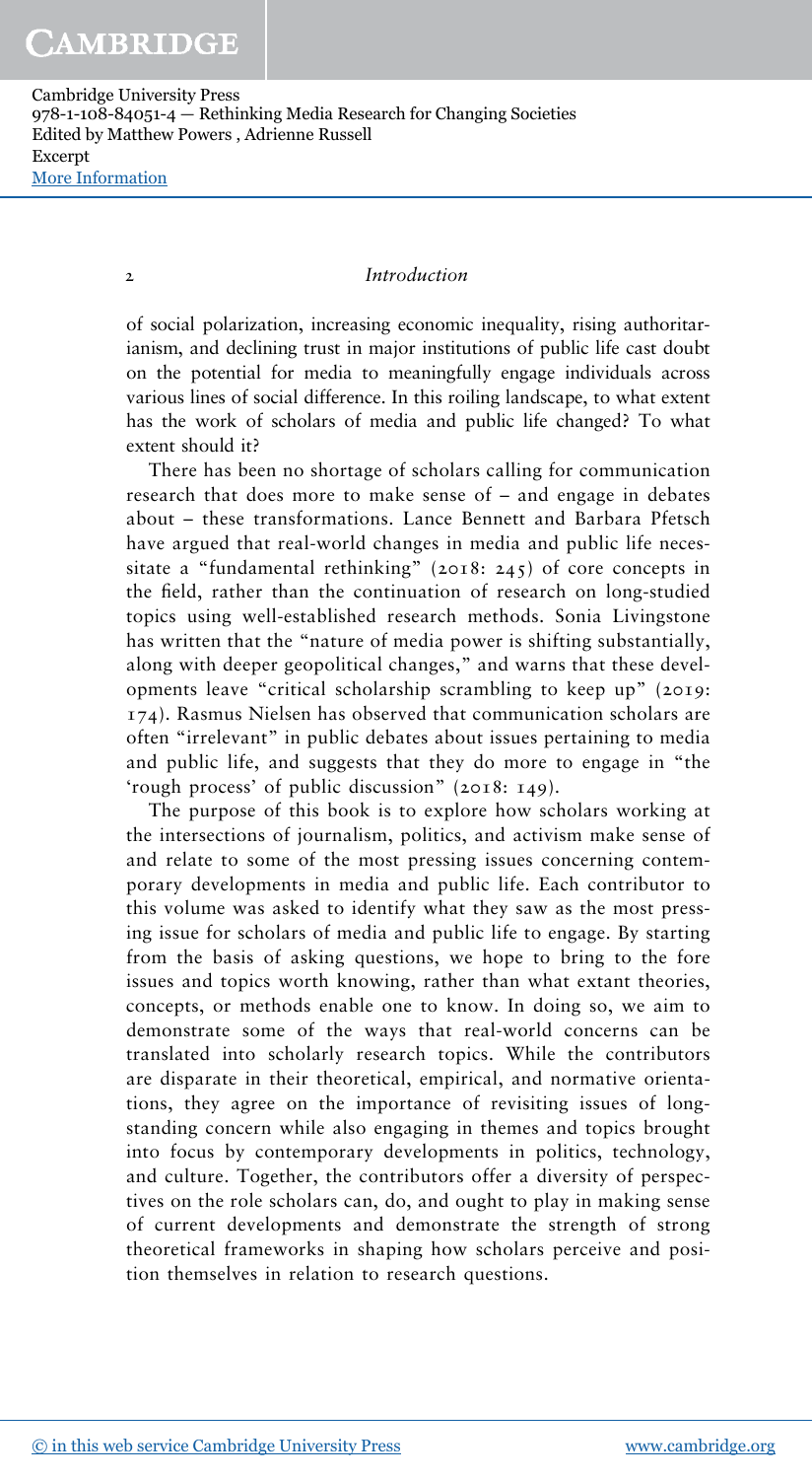#### 2 Introduction

of social polarization, increasing economic inequality, rising authoritarianism, and declining trust in major institutions of public life cast doubt on the potential for media to meaningfully engage individuals across various lines of social difference. In this roiling landscape, to what extent has the work of scholars of media and public life changed? To what extent should it?

There has been no shortage of scholars calling for communication research that does more to make sense of – and engage in debates about – these transformations. Lance Bennett and Barbara Pfetsch have argued that real-world changes in media and public life necessitate a "fundamental rethinking" (2018: 245) of core concepts in the field, rather than the continuation of research on long-studied topics using well-established research methods. Sonia Livingstone has written that the "nature of media power is shifting substantially, along with deeper geopolitical changes," and warns that these developments leave "critical scholarship scrambling to keep up" (2019: 174). Rasmus Nielsen has observed that communication scholars are often "irrelevant" in public debates about issues pertaining to media and public life, and suggests that they do more to engage in "the 'rough process' of public discussion" (2018: 149).

The purpose of this book is to explore how scholars working at the intersections of journalism, politics, and activism make sense of and relate to some of the most pressing issues concerning contemporary developments in media and public life. Each contributor to this volume was asked to identify what they saw as the most pressing issue for scholars of media and public life to engage. By starting from the basis of asking questions, we hope to bring to the fore issues and topics worth knowing, rather than what extant theories, concepts, or methods enable one to know. In doing so, we aim to demonstrate some of the ways that real-world concerns can be translated into scholarly research topics. While the contributors are disparate in their theoretical, empirical, and normative orientations, they agree on the importance of revisiting issues of longstanding concern while also engaging in themes and topics brought into focus by contemporary developments in politics, technology, and culture. Together, the contributors offer a diversity of perspectives on the role scholars can, do, and ought to play in making sense of current developments and demonstrate the strength of strong theoretical frameworks in shaping how scholars perceive and position themselves in relation to research questions.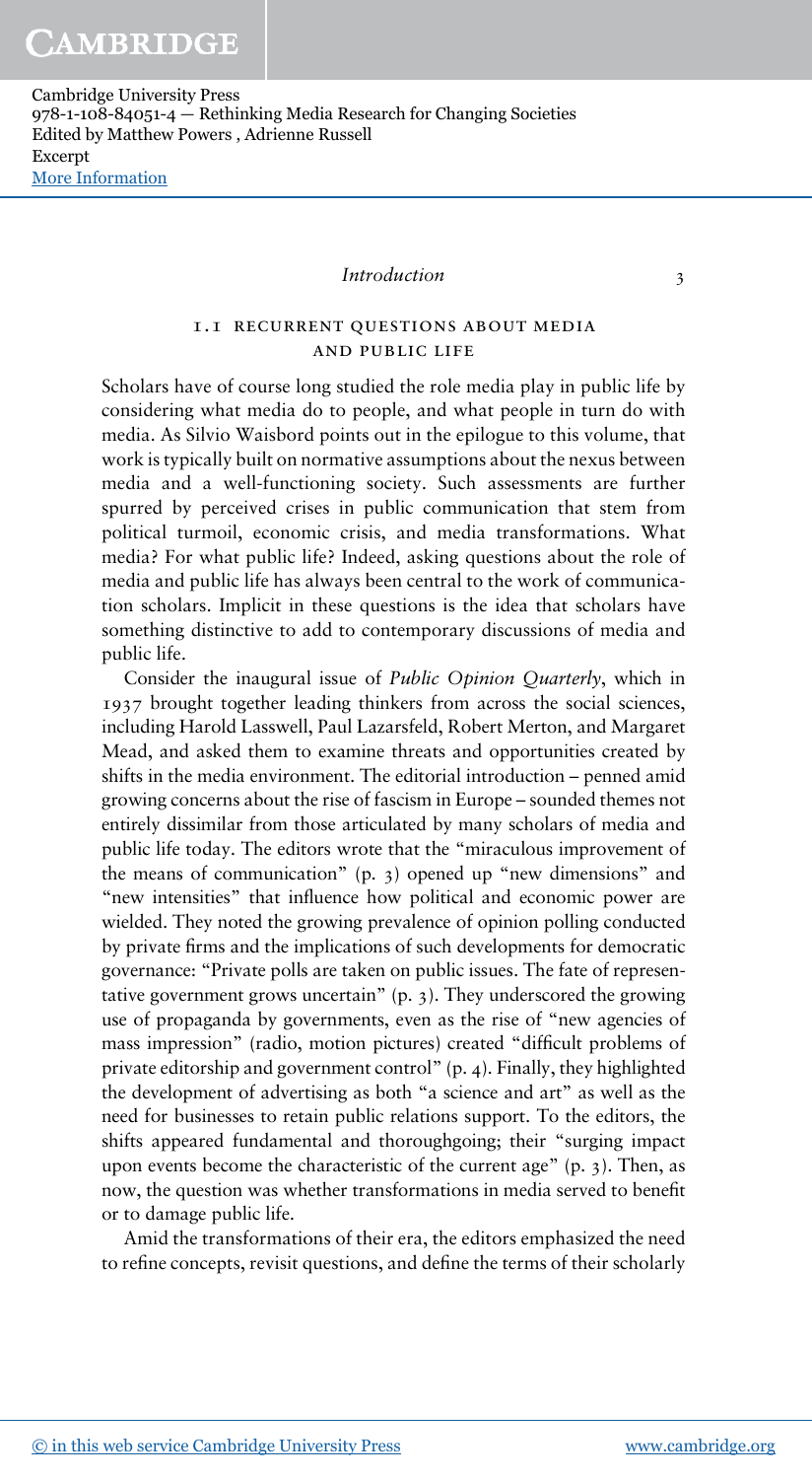#### Introduction 3

### 1.1 recurrent questions about media and public life

Scholars have of course long studied the role media play in public life by considering what media do to people, and what people in turn do with media. As Silvio Waisbord points out in the epilogue to this volume, that work is typically built on normative assumptions about the nexus between media and a well-functioning society. Such assessments are further spurred by perceived crises in public communication that stem from political turmoil, economic crisis, and media transformations. What media? For what public life? Indeed, asking questions about the role of media and public life has always been central to the work of communication scholars. Implicit in these questions is the idea that scholars have something distinctive to add to contemporary discussions of media and public life.

Consider the inaugural issue of Public Opinion Quarterly, which in 1937 brought together leading thinkers from across the social sciences, including Harold Lasswell, Paul Lazarsfeld, Robert Merton, and Margaret Mead, and asked them to examine threats and opportunities created by shifts in the media environment. The editorial introduction – penned amid growing concerns about the rise of fascism in Europe – sounded themes not entirely dissimilar from those articulated by many scholars of media and public life today. The editors wrote that the "miraculous improvement of the means of communication" (p. 3) opened up "new dimensions" and "new intensities" that influence how political and economic power are wielded. They noted the growing prevalence of opinion polling conducted by private firms and the implications of such developments for democratic governance: "Private polls are taken on public issues. The fate of representative government grows uncertain" (p. 3). They underscored the growing use of propaganda by governments, even as the rise of "new agencies of mass impression" (radio, motion pictures) created "difficult problems of private editorship and government control" (p. 4). Finally, they highlighted the development of advertising as both "a science and art" as well as the need for businesses to retain public relations support. To the editors, the shifts appeared fundamental and thoroughgoing; their "surging impact upon events become the characteristic of the current age" (p. 3). Then, as now, the question was whether transformations in media served to benefit or to damage public life.

Amid the transformations of their era, the editors emphasized the need to refine concepts, revisit questions, and define the terms of their scholarly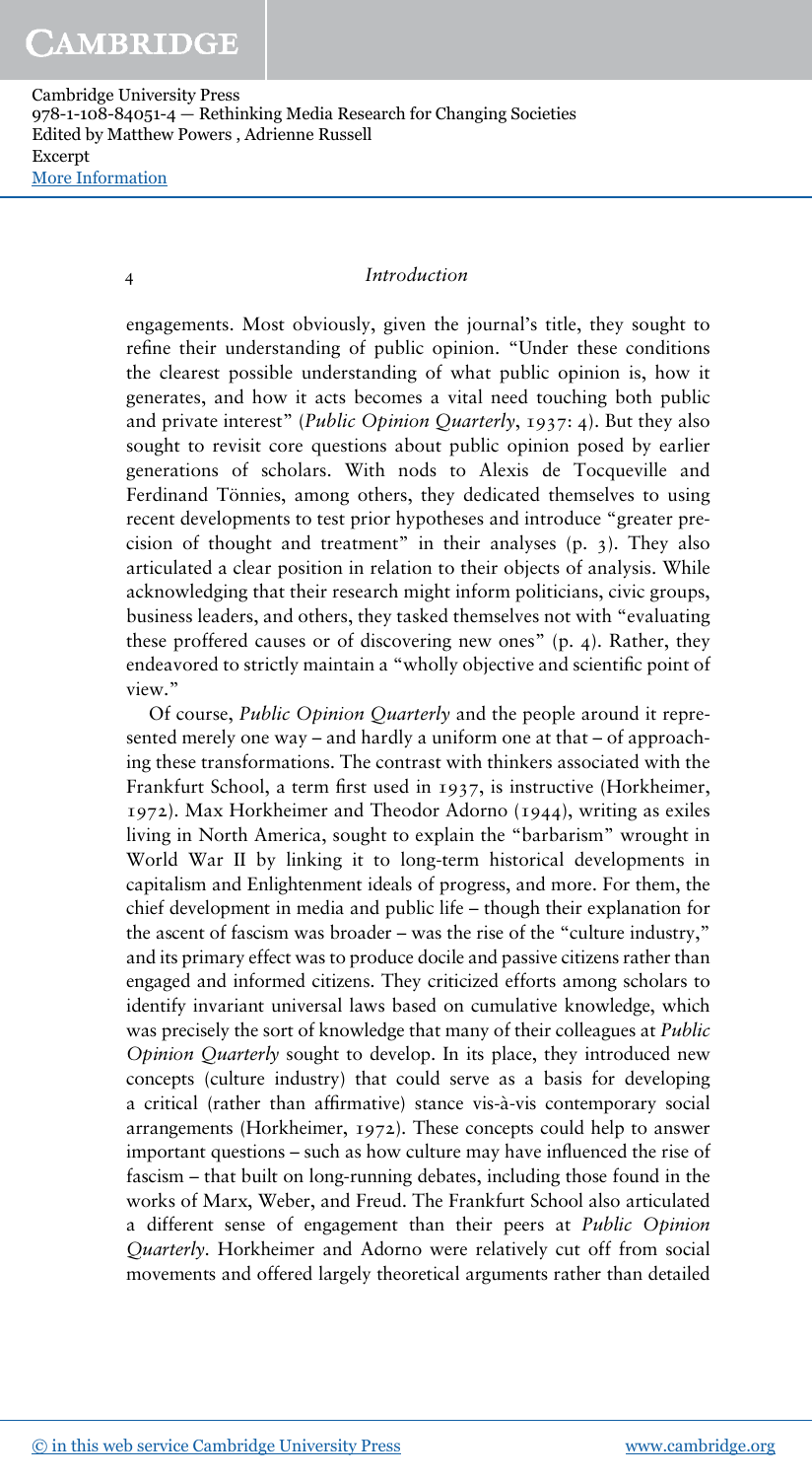#### 4 Introduction

engagements. Most obviously, given the journal's title, they sought to refine their understanding of public opinion. "Under these conditions the clearest possible understanding of what public opinion is, how it generates, and how it acts becomes a vital need touching both public and private interest" (Public Opinion Quarterly, 1937: 4). But they also sought to revisit core questions about public opinion posed by earlier generations of scholars. With nods to Alexis de Tocqueville and Ferdinand Tönnies, among others, they dedicated themselves to using recent developments to test prior hypotheses and introduce "greater precision of thought and treatment" in their analyses (p. 3). They also articulated a clear position in relation to their objects of analysis. While acknowledging that their research might inform politicians, civic groups, business leaders, and others, they tasked themselves not with "evaluating these proffered causes or of discovering new ones" (p. 4). Rather, they endeavored to strictly maintain a "wholly objective and scientific point of view."

Of course, Public Opinion Quarterly and the people around it represented merely one way – and hardly a uniform one at that – of approaching these transformations. The contrast with thinkers associated with the Frankfurt School, a term first used in 1937, is instructive (Horkheimer, 1972). Max Horkheimer and Theodor Adorno (1944), writing as exiles living in North America, sought to explain the "barbarism" wrought in World War II by linking it to long-term historical developments in capitalism and Enlightenment ideals of progress, and more. For them, the chief development in media and public life – though their explanation for the ascent of fascism was broader – was the rise of the "culture industry," and its primary effect was to produce docile and passive citizens rather than engaged and informed citizens. They criticized efforts among scholars to identify invariant universal laws based on cumulative knowledge, which was precisely the sort of knowledge that many of their colleagues at *Public* Opinion Quarterly sought to develop. In its place, they introduced new concepts (culture industry) that could serve as a basis for developing a critical (rather than affirmative) stance vis-à-vis contemporary social arrangements (Horkheimer, 1972). These concepts could help to answer important questions – such as how culture may have influenced the rise of fascism – that built on long-running debates, including those found in the works of Marx, Weber, and Freud. The Frankfurt School also articulated a different sense of engagement than their peers at Public Opinion Quarterly. Horkheimer and Adorno were relatively cut off from social movements and offered largely theoretical arguments rather than detailed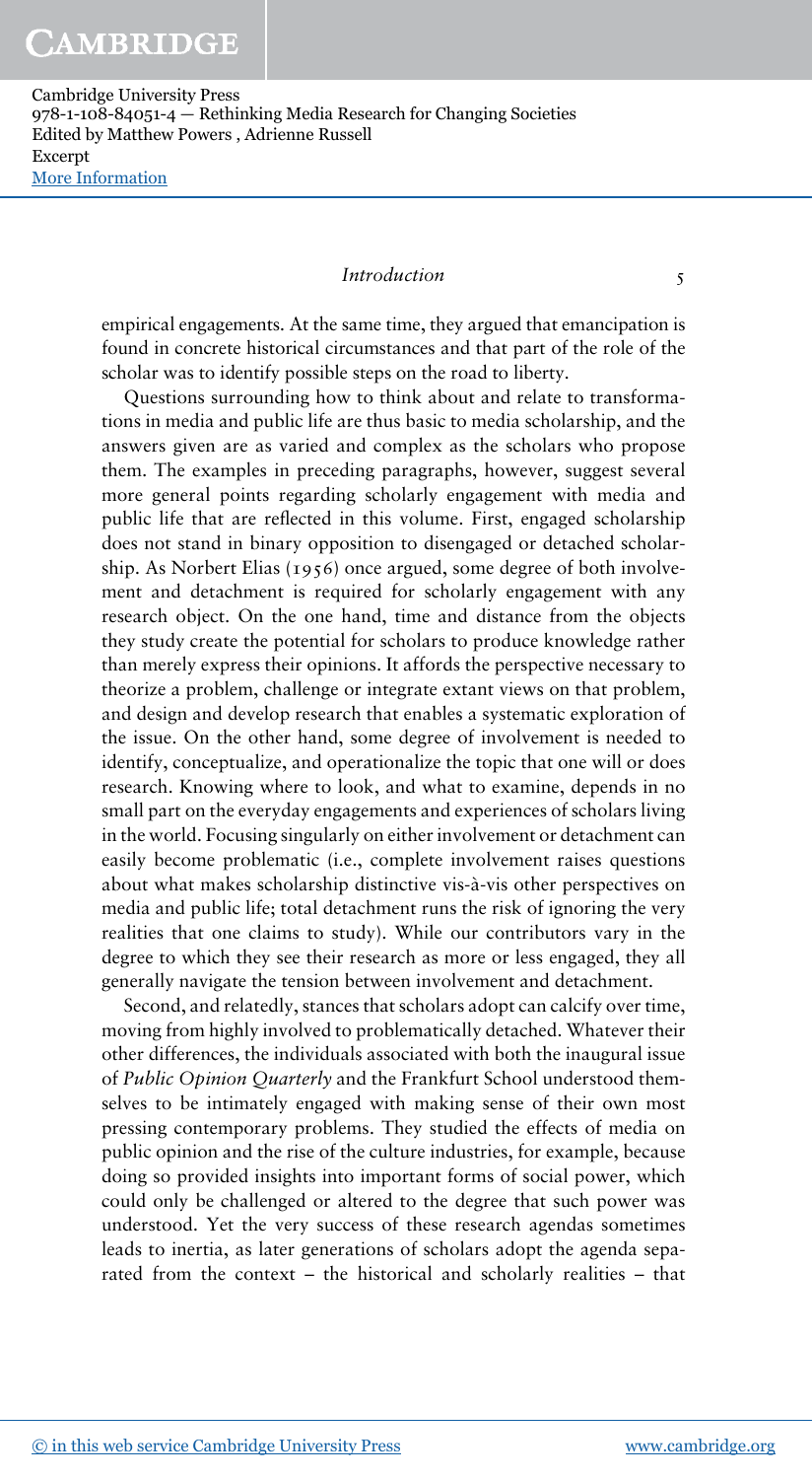#### Introduction 5

empirical engagements. At the same time, they argued that emancipation is found in concrete historical circumstances and that part of the role of the scholar was to identify possible steps on the road to liberty.

Questions surrounding how to think about and relate to transformations in media and public life are thus basic to media scholarship, and the answers given are as varied and complex as the scholars who propose them. The examples in preceding paragraphs, however, suggest several more general points regarding scholarly engagement with media and public life that are reflected in this volume. First, engaged scholarship does not stand in binary opposition to disengaged or detached scholarship. As Norbert Elias (1956) once argued, some degree of both involvement and detachment is required for scholarly engagement with any research object. On the one hand, time and distance from the objects they study create the potential for scholars to produce knowledge rather than merely express their opinions. It affords the perspective necessary to theorize a problem, challenge or integrate extant views on that problem, and design and develop research that enables a systematic exploration of the issue. On the other hand, some degree of involvement is needed to identify, conceptualize, and operationalize the topic that one will or does research. Knowing where to look, and what to examine, depends in no small part on the everyday engagements and experiences of scholars living in the world. Focusing singularly on either involvement or detachment can easily become problematic (i.e., complete involvement raises questions about what makes scholarship distinctive vis-à-vis other perspectives on media and public life; total detachment runs the risk of ignoring the very realities that one claims to study). While our contributors vary in the degree to which they see their research as more or less engaged, they all generally navigate the tension between involvement and detachment.

Second, and relatedly, stances that scholars adopt can calcify over time, moving from highly involved to problematically detached. Whatever their other differences, the individuals associated with both the inaugural issue of Public Opinion Quarterly and the Frankfurt School understood themselves to be intimately engaged with making sense of their own most pressing contemporary problems. They studied the effects of media on public opinion and the rise of the culture industries, for example, because doing so provided insights into important forms of social power, which could only be challenged or altered to the degree that such power was understood. Yet the very success of these research agendas sometimes leads to inertia, as later generations of scholars adopt the agenda separated from the context – the historical and scholarly realities – that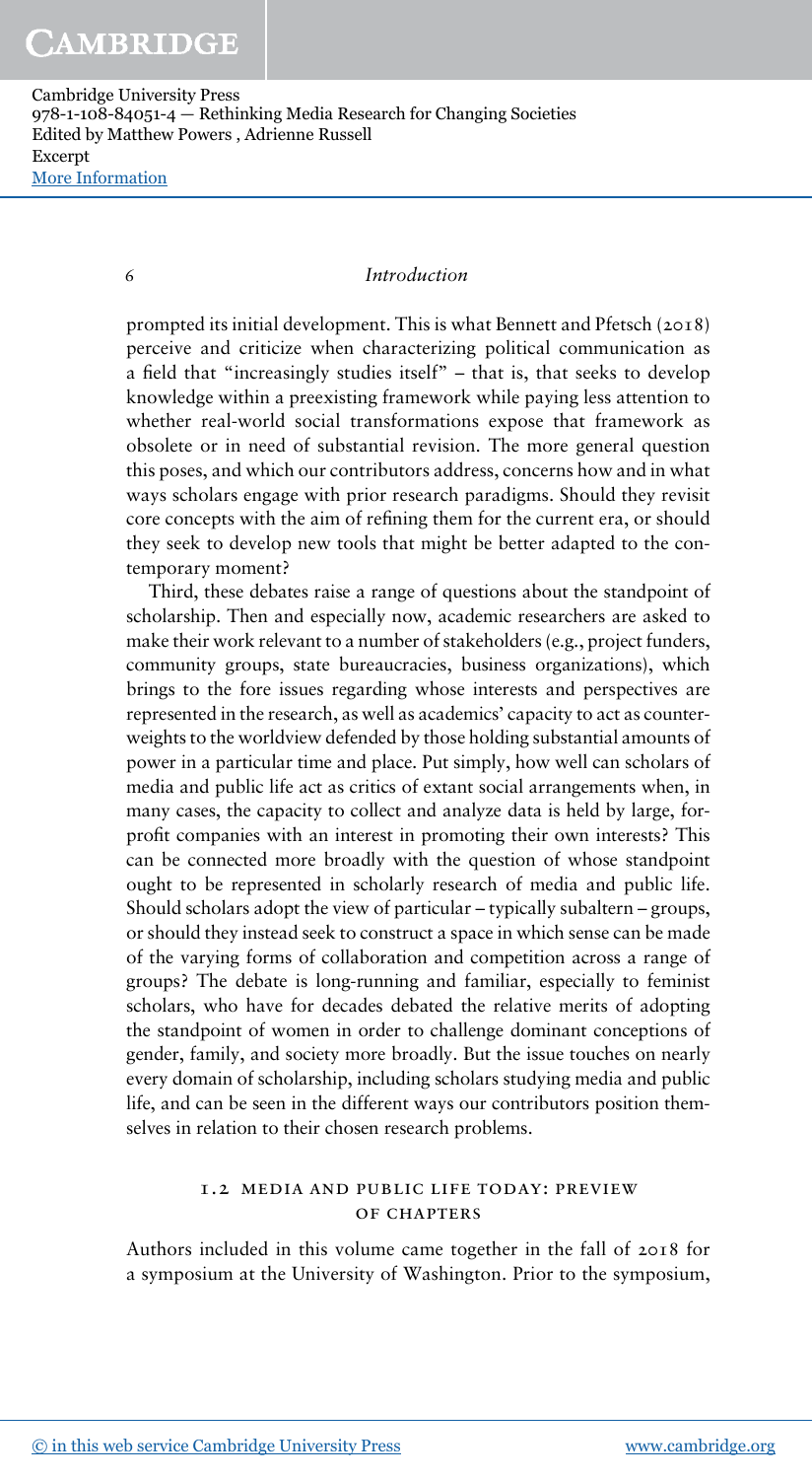#### 6 Introduction

prompted its initial development. This is what Bennett and Pfetsch (2018) perceive and criticize when characterizing political communication as a field that "increasingly studies itself" – that is, that seeks to develop knowledge within a preexisting framework while paying less attention to whether real-world social transformations expose that framework as obsolete or in need of substantial revision. The more general question this poses, and which our contributors address, concerns how and in what ways scholars engage with prior research paradigms. Should they revisit core concepts with the aim of refining them for the current era, or should they seek to develop new tools that might be better adapted to the contemporary moment?

Third, these debates raise a range of questions about the standpoint of scholarship. Then and especially now, academic researchers are asked to make their work relevant to a number of stakeholders (e.g., project funders, community groups, state bureaucracies, business organizations), which brings to the fore issues regarding whose interests and perspectives are represented in the research, as well as academics' capacity to act as counterweights to the worldview defended by those holding substantial amounts of power in a particular time and place. Put simply, how well can scholars of media and public life act as critics of extant social arrangements when, in many cases, the capacity to collect and analyze data is held by large, forprofit companies with an interest in promoting their own interests? This can be connected more broadly with the question of whose standpoint ought to be represented in scholarly research of media and public life. Should scholars adopt the view of particular – typically subaltern – groups, or should they instead seek to construct a space in which sense can be made of the varying forms of collaboration and competition across a range of groups? The debate is long-running and familiar, especially to feminist scholars, who have for decades debated the relative merits of adopting the standpoint of women in order to challenge dominant conceptions of gender, family, and society more broadly. But the issue touches on nearly every domain of scholarship, including scholars studying media and public life, and can be seen in the different ways our contributors position themselves in relation to their chosen research problems.

### 1.2 media and public life today: preview of chapters

Authors included in this volume came together in the fall of 2018 for a symposium at the University of Washington. Prior to the symposium,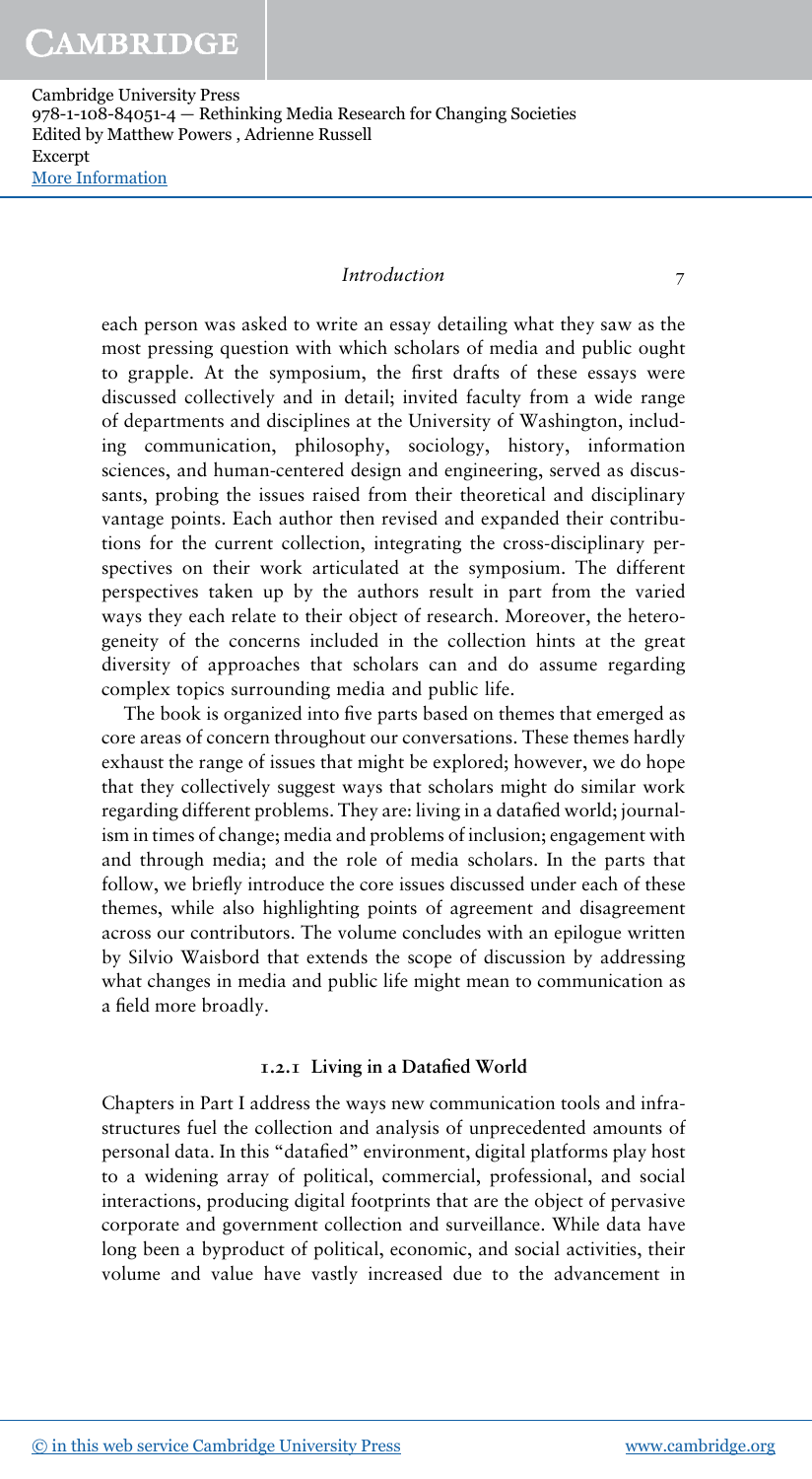#### Introduction 7

each person was asked to write an essay detailing what they saw as the most pressing question with which scholars of media and public ought to grapple. At the symposium, the first drafts of these essays were discussed collectively and in detail; invited faculty from a wide range of departments and disciplines at the University of Washington, including communication, philosophy, sociology, history, information sciences, and human-centered design and engineering, served as discussants, probing the issues raised from their theoretical and disciplinary vantage points. Each author then revised and expanded their contributions for the current collection, integrating the cross-disciplinary perspectives on their work articulated at the symposium. The different perspectives taken up by the authors result in part from the varied ways they each relate to their object of research. Moreover, the heterogeneity of the concerns included in the collection hints at the great diversity of approaches that scholars can and do assume regarding complex topics surrounding media and public life.

The book is organized into five parts based on themes that emerged as core areas of concern throughout our conversations. These themes hardly exhaust the range of issues that might be explored; however, we do hope that they collectively suggest ways that scholars might do similar work regarding different problems. They are: living in a datafied world; journalism in times of change; media and problems of inclusion; engagement with and through media; and the role of media scholars. In the parts that follow, we briefly introduce the core issues discussed under each of these themes, while also highlighting points of agreement and disagreement across our contributors. The volume concludes with an epilogue written by Silvio Waisbord that extends the scope of discussion by addressing what changes in media and public life might mean to communication as a field more broadly.

#### 1.2.1 Living in a Datafied World

Chapters in Part I address the ways new communication tools and infrastructures fuel the collection and analysis of unprecedented amounts of personal data. In this "datafied" environment, digital platforms play host to a widening array of political, commercial, professional, and social interactions, producing digital footprints that are the object of pervasive corporate and government collection and surveillance. While data have long been a byproduct of political, economic, and social activities, their volume and value have vastly increased due to the advancement in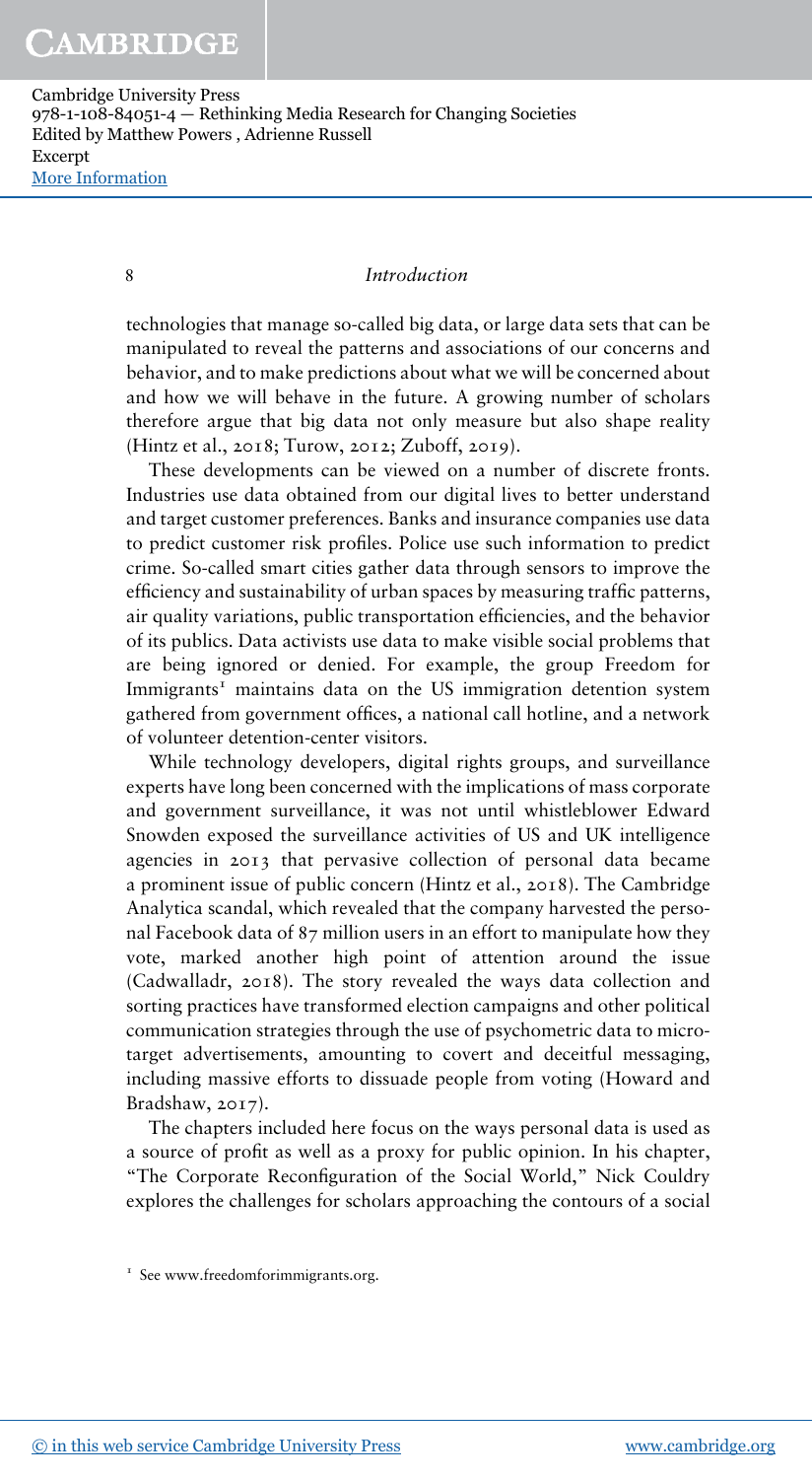#### 8 Introduction

technologies that manage so-called big data, or large data sets that can be manipulated to reveal the patterns and associations of our concerns and behavior, and to make predictions about what we will be concerned about and how we will behave in the future. A growing number of scholars therefore argue that big data not only measure but also shape reality (Hintz et al., 2018; Turow, 2012; Zuboff, 2019).

These developments can be viewed on a number of discrete fronts. Industries use data obtained from our digital lives to better understand and target customer preferences. Banks and insurance companies use data to predict customer risk profiles. Police use such information to predict crime. So-called smart cities gather data through sensors to improve the efficiency and sustainability of urban spaces by measuring traffic patterns, air quality variations, public transportation efficiencies, and the behavior of its publics. Data activists use data to make visible social problems that are being ignored or denied. For example, the group Freedom for  $Imm <sup>T</sup>$  maintains data on the US immigration detention system</sup> gathered from government offices, a national call hotline, and a network of volunteer detention-center visitors.

While technology developers, digital rights groups, and surveillance experts have long been concerned with the implications of mass corporate and government surveillance, it was not until whistleblower Edward Snowden exposed the surveillance activities of US and UK intelligence agencies in 2013 that pervasive collection of personal data became a prominent issue of public concern (Hintz et al., 2018). The Cambridge Analytica scandal, which revealed that the company harvested the personal Facebook data of 87 million users in an effort to manipulate how they vote, marked another high point of attention around the issue (Cadwalladr, 2018). The story revealed the ways data collection and sorting practices have transformed election campaigns and other political communication strategies through the use of psychometric data to microtarget advertisements, amounting to covert and deceitful messaging, including massive efforts to dissuade people from voting (Howard and Bradshaw, 2017).

The chapters included here focus on the ways personal data is used as a source of profit as well as a proxy for public opinion. In his chapter, "The Corporate Reconfiguration of the Social World," Nick Couldry explores the challenges for scholars approaching the contours of a social

<sup>1</sup> See www.freedomforimmigrants.org.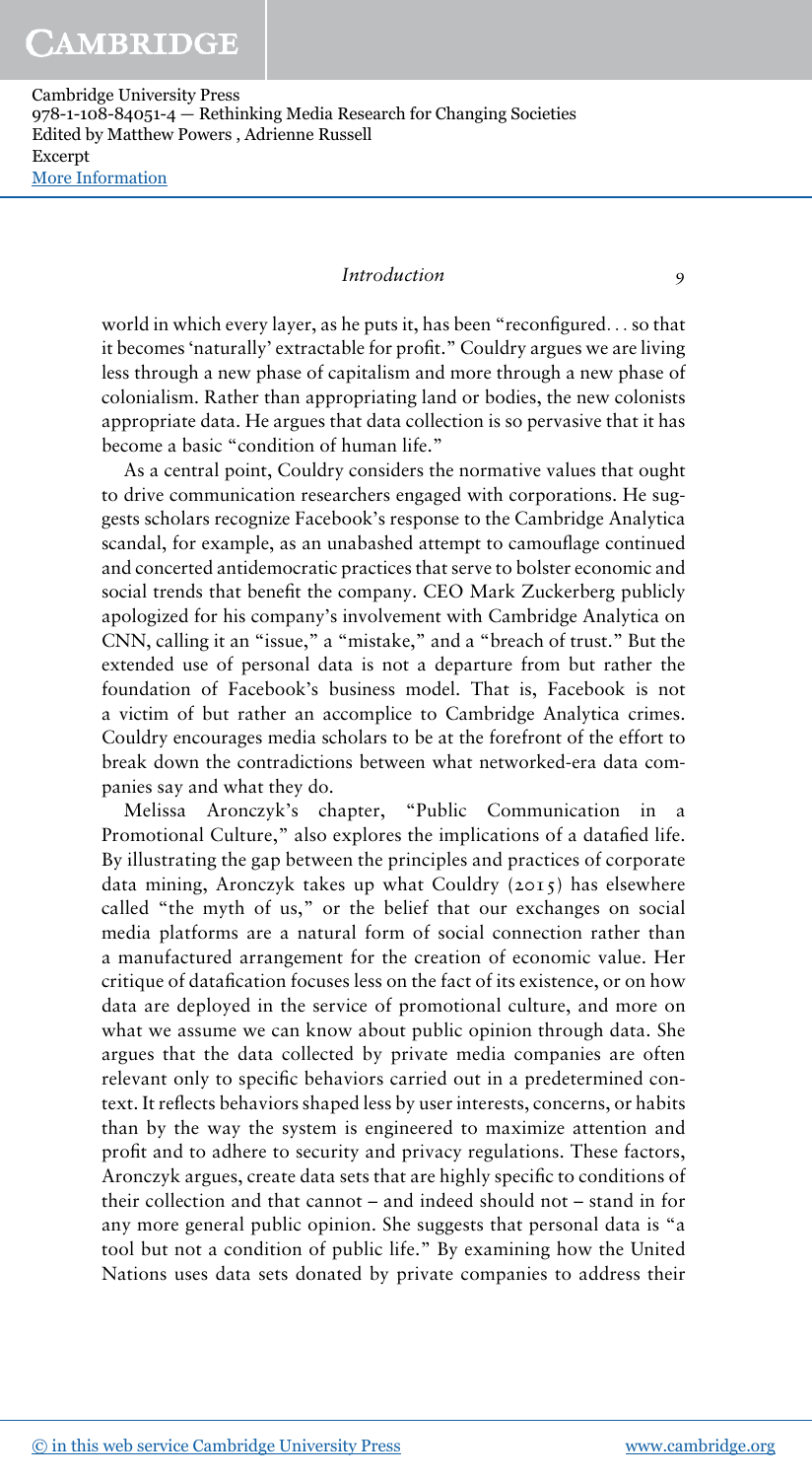#### Introduction 9

world in which every layer, as he puts it, has been "reconfigured... so that it becomes'naturally' extractable for profit." Couldry argues we are living less through a new phase of capitalism and more through a new phase of colonialism. Rather than appropriating land or bodies, the new colonists appropriate data. He argues that data collection is so pervasive that it has become a basic "condition of human life."

As a central point, Couldry considers the normative values that ought to drive communication researchers engaged with corporations. He suggests scholars recognize Facebook's response to the Cambridge Analytica scandal, for example, as an unabashed attempt to camouflage continued and concerted antidemocratic practices that serve to bolster economic and social trends that benefit the company. CEO Mark Zuckerberg publicly apologized for his company's involvement with Cambridge Analytica on CNN, calling it an "issue," a "mistake," and a "breach of trust." But the extended use of personal data is not a departure from but rather the foundation of Facebook's business model. That is, Facebook is not a victim of but rather an accomplice to Cambridge Analytica crimes. Couldry encourages media scholars to be at the forefront of the effort to break down the contradictions between what networked-era data companies say and what they do.

Melissa Aronczyk's chapter, "Public Communication in a Promotional Culture," also explores the implications of a datafied life. By illustrating the gap between the principles and practices of corporate data mining, Aronczyk takes up what Couldry (2015) has elsewhere called "the myth of us," or the belief that our exchanges on social media platforms are a natural form of social connection rather than a manufactured arrangement for the creation of economic value. Her critique of datafication focuses less on the fact of its existence, or on how data are deployed in the service of promotional culture, and more on what we assume we can know about public opinion through data. She argues that the data collected by private media companies are often relevant only to specific behaviors carried out in a predetermined context. It reflects behaviors shaped less by userinterests, concerns, or habits than by the way the system is engineered to maximize attention and profit and to adhere to security and privacy regulations. These factors, Aronczyk argues, create data sets that are highly specific to conditions of their collection and that cannot – and indeed should not – stand in for any more general public opinion. She suggests that personal data is "a tool but not a condition of public life." By examining how the United Nations uses data sets donated by private companies to address their